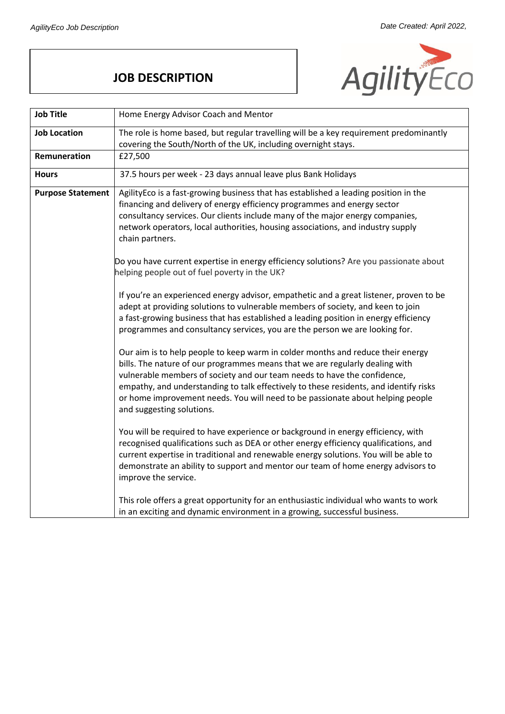## **JOB DESCRIPTION**



| <b>Job Title</b>         | Home Energy Advisor Coach and Mentor                                                                                                                                                                                                                                                                                                                                                                                                                                                                                                                                                                                                                                                                                                                                                                                                                                                                                                                                                                                                                                                                                                                                                                                                                                                                                                                                                                                                                                                                                                                                                                                                                                                          |
|--------------------------|-----------------------------------------------------------------------------------------------------------------------------------------------------------------------------------------------------------------------------------------------------------------------------------------------------------------------------------------------------------------------------------------------------------------------------------------------------------------------------------------------------------------------------------------------------------------------------------------------------------------------------------------------------------------------------------------------------------------------------------------------------------------------------------------------------------------------------------------------------------------------------------------------------------------------------------------------------------------------------------------------------------------------------------------------------------------------------------------------------------------------------------------------------------------------------------------------------------------------------------------------------------------------------------------------------------------------------------------------------------------------------------------------------------------------------------------------------------------------------------------------------------------------------------------------------------------------------------------------------------------------------------------------------------------------------------------------|
| <b>Job Location</b>      | The role is home based, but regular travelling will be a key requirement predominantly                                                                                                                                                                                                                                                                                                                                                                                                                                                                                                                                                                                                                                                                                                                                                                                                                                                                                                                                                                                                                                                                                                                                                                                                                                                                                                                                                                                                                                                                                                                                                                                                        |
|                          | covering the South/North of the UK, including overnight stays.                                                                                                                                                                                                                                                                                                                                                                                                                                                                                                                                                                                                                                                                                                                                                                                                                                                                                                                                                                                                                                                                                                                                                                                                                                                                                                                                                                                                                                                                                                                                                                                                                                |
| Remuneration             | £27,500                                                                                                                                                                                                                                                                                                                                                                                                                                                                                                                                                                                                                                                                                                                                                                                                                                                                                                                                                                                                                                                                                                                                                                                                                                                                                                                                                                                                                                                                                                                                                                                                                                                                                       |
| <b>Hours</b>             | 37.5 hours per week - 23 days annual leave plus Bank Holidays                                                                                                                                                                                                                                                                                                                                                                                                                                                                                                                                                                                                                                                                                                                                                                                                                                                                                                                                                                                                                                                                                                                                                                                                                                                                                                                                                                                                                                                                                                                                                                                                                                 |
| <b>Purpose Statement</b> | AgilityEco is a fast-growing business that has established a leading position in the<br>financing and delivery of energy efficiency programmes and energy sector<br>consultancy services. Our clients include many of the major energy companies,<br>network operators, local authorities, housing associations, and industry supply<br>chain partners.<br>Do you have current expertise in energy efficiency solutions? Are you passionate about<br>helping people out of fuel poverty in the UK?<br>If you're an experienced energy advisor, empathetic and a great listener, proven to be<br>adept at providing solutions to vulnerable members of society, and keen to join<br>a fast-growing business that has established a leading position in energy efficiency<br>programmes and consultancy services, you are the person we are looking for.<br>Our aim is to help people to keep warm in colder months and reduce their energy<br>bills. The nature of our programmes means that we are regularly dealing with<br>vulnerable members of society and our team needs to have the confidence,<br>empathy, and understanding to talk effectively to these residents, and identify risks<br>or home improvement needs. You will need to be passionate about helping people<br>and suggesting solutions.<br>You will be required to have experience or background in energy efficiency, with<br>recognised qualifications such as DEA or other energy efficiency qualifications, and<br>current expertise in traditional and renewable energy solutions. You will be able to<br>demonstrate an ability to support and mentor our team of home energy advisors to<br>improve the service. |
|                          | This role offers a great opportunity for an enthusiastic individual who wants to work<br>in an exciting and dynamic environment in a growing, successful business.                                                                                                                                                                                                                                                                                                                                                                                                                                                                                                                                                                                                                                                                                                                                                                                                                                                                                                                                                                                                                                                                                                                                                                                                                                                                                                                                                                                                                                                                                                                            |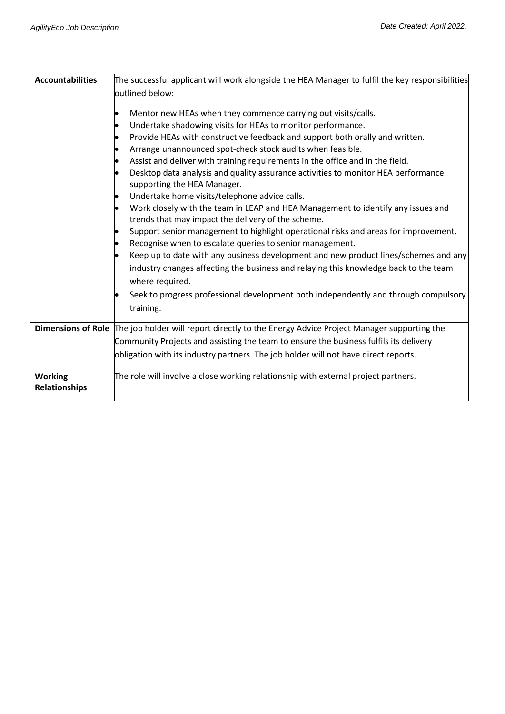| <b>Accountabilities</b>                | The successful applicant will work alongside the HEA Manager to fulfil the key responsibilities                                                                                                              |
|----------------------------------------|--------------------------------------------------------------------------------------------------------------------------------------------------------------------------------------------------------------|
|                                        | outlined below:                                                                                                                                                                                              |
|                                        | Mentor new HEAs when they commence carrying out visits/calls.<br>Undertake shadowing visits for HEAs to monitor performance.<br>Provide HEAs with constructive feedback and support both orally and written. |
|                                        | Arrange unannounced spot-check stock audits when feasible.                                                                                                                                                   |
|                                        | Assist and deliver with training requirements in the office and in the field.<br>Desktop data analysis and quality assurance activities to monitor HEA performance<br>supporting the HEA Manager.            |
|                                        | Undertake home visits/telephone advice calls.                                                                                                                                                                |
|                                        | Work closely with the team in LEAP and HEA Management to identify any issues and<br>trends that may impact the delivery of the scheme.                                                                       |
|                                        | Support senior management to highlight operational risks and areas for improvement.                                                                                                                          |
|                                        | Recognise when to escalate queries to senior management.                                                                                                                                                     |
|                                        | Keep up to date with any business development and new product lines/schemes and any<br>industry changes affecting the business and relaying this knowledge back to the team<br>where required.               |
|                                        | Seek to progress professional development both independently and through compulsory<br>training.                                                                                                             |
|                                        | Dimensions of Role The job holder will report directly to the Energy Advice Project Manager supporting the                                                                                                   |
|                                        | Community Projects and assisting the team to ensure the business fulfils its delivery                                                                                                                        |
|                                        | obligation with its industry partners. The job holder will not have direct reports.                                                                                                                          |
| <b>Working</b><br><b>Relationships</b> | The role will involve a close working relationship with external project partners.                                                                                                                           |